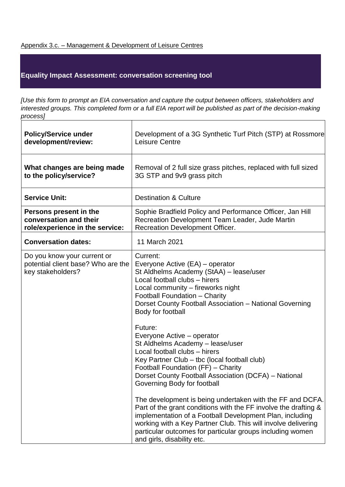## Appendix 3.c. – Management & Development of Leisure Centres

## **Equality Impact Assessment: conversation screening tool**

*[Use this form to prompt an EIA conversation and capture the output between officers, stakeholders and interested groups. This completed form or a full EIA report will be published as part of the decision-making process]* 

| <b>Policy/Service under</b><br>development/review:                                     | Development of a 3G Synthetic Turf Pitch (STP) at Rossmore<br>Leisure Centre                                                                                                                                                                                                                                                                         |
|----------------------------------------------------------------------------------------|------------------------------------------------------------------------------------------------------------------------------------------------------------------------------------------------------------------------------------------------------------------------------------------------------------------------------------------------------|
| What changes are being made<br>to the policy/service?                                  | Removal of 2 full size grass pitches, replaced with full sized<br>3G STP and 9v9 grass pitch                                                                                                                                                                                                                                                         |
| <b>Service Unit:</b>                                                                   | <b>Destination &amp; Culture</b>                                                                                                                                                                                                                                                                                                                     |
| Persons present in the<br>conversation and their<br>role/experience in the service:    | Sophie Bradfield Policy and Performance Officer, Jan Hill<br>Recreation Development Team Leader, Jude Martin<br>Recreation Development Officer.                                                                                                                                                                                                      |
| <b>Conversation dates:</b>                                                             | 11 March 2021                                                                                                                                                                                                                                                                                                                                        |
| Do you know your current or<br>potential client base? Who are the<br>key stakeholders? | Current:<br>Everyone Active (EA) – operator<br>St Aldhelms Academy (StAA) - lease/user<br>Local football clubs - hirers<br>Local community - fireworks night<br>Football Foundation - Charity<br>Dorset County Football Association - National Governing<br>Body for football                                                                        |
|                                                                                        | Future:<br>Everyone Active – operator<br>St Aldhelms Academy - lease/user<br>Local football clubs - hirers<br>Key Partner Club - tbc (local football club)<br>Football Foundation (FF) - Charity<br>Dorset County Football Association (DCFA) - National<br>Governing Body for football                                                              |
|                                                                                        | The development is being undertaken with the FF and DCFA.<br>Part of the grant conditions with the FF involve the drafting &<br>implementation of a Football Development Plan, including<br>working with a Key Partner Club. This will involve delivering<br>particular outcomes for particular groups including women<br>and girls, disability etc. |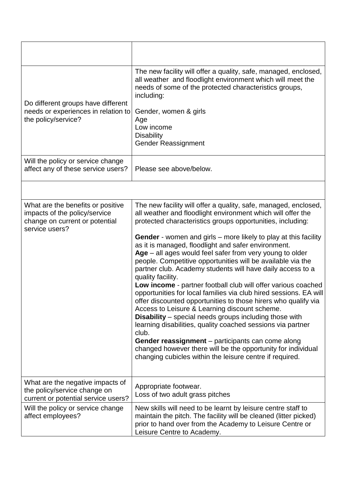| Do different groups have different<br>needs or experiences in relation to<br>the policy/service?                       | The new facility will offer a quality, safe, managed, enclosed,<br>all weather and floodlight environment which will meet the<br>needs of some of the protected characteristics groups,<br>including:<br>Gender, women & girls<br>Age<br>Low income<br><b>Disability</b><br><b>Gender Reassignment</b>                                                                                                                                                                                                                                                                                                                                                                                                                                                                                                                                                                                                                                                                                                                                                                                                                           |
|------------------------------------------------------------------------------------------------------------------------|----------------------------------------------------------------------------------------------------------------------------------------------------------------------------------------------------------------------------------------------------------------------------------------------------------------------------------------------------------------------------------------------------------------------------------------------------------------------------------------------------------------------------------------------------------------------------------------------------------------------------------------------------------------------------------------------------------------------------------------------------------------------------------------------------------------------------------------------------------------------------------------------------------------------------------------------------------------------------------------------------------------------------------------------------------------------------------------------------------------------------------|
| Will the policy or service change<br>affect any of these service users?                                                | Please see above/below.                                                                                                                                                                                                                                                                                                                                                                                                                                                                                                                                                                                                                                                                                                                                                                                                                                                                                                                                                                                                                                                                                                          |
|                                                                                                                        |                                                                                                                                                                                                                                                                                                                                                                                                                                                                                                                                                                                                                                                                                                                                                                                                                                                                                                                                                                                                                                                                                                                                  |
| What are the benefits or positive<br>impacts of the policy/service<br>change on current or potential<br>service users? | The new facility will offer a quality, safe, managed, enclosed,<br>all weather and floodlight environment which will offer the<br>protected characteristics groups opportunities, including:<br><b>Gender</b> - women and girls – more likely to play at this facility<br>as it is managed, floodlight and safer environment.<br>$Age - all ages would feel safer from very young to older$<br>people. Competitive opportunities will be available via the<br>partner club. Academy students will have daily access to a<br>quality facility.<br>Low income - partner football club will offer various coached<br>opportunities for local families via club hired sessions. EA will<br>offer discounted opportunities to those hirers who qualify via<br>Access to Leisure & Learning discount scheme.<br><b>Disability</b> – special needs groups including those with<br>learning disabilities, quality coached sessions via partner<br>club.<br>Gender reassignment – participants can come along<br>changed however there will be the opportunity for individual<br>changing cubicles within the leisure centre if required. |
| What are the negative impacts of<br>the policy/service change on<br>current or potential service users?                | Appropriate footwear.<br>Loss of two adult grass pitches                                                                                                                                                                                                                                                                                                                                                                                                                                                                                                                                                                                                                                                                                                                                                                                                                                                                                                                                                                                                                                                                         |
| Will the policy or service change<br>affect employees?                                                                 | New skills will need to be learnt by leisure centre staff to<br>maintain the pitch. The facility will be cleaned (litter picked)<br>prior to hand over from the Academy to Leisure Centre or<br>Leisure Centre to Academy.                                                                                                                                                                                                                                                                                                                                                                                                                                                                                                                                                                                                                                                                                                                                                                                                                                                                                                       |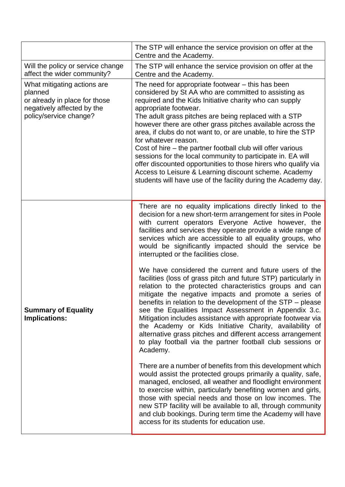|                                                                                                                                 | The STP will enhance the service provision on offer at the<br>Centre and the Academy.                                                                                                                                                                                                                                                                                                                                                                                                                                                                                                                                                                                                                                                                                                                                                                                                                                                                                                                                                                                                                                                                                                                                                                                                                                                                                                                                                                                                                                                                       |
|---------------------------------------------------------------------------------------------------------------------------------|-------------------------------------------------------------------------------------------------------------------------------------------------------------------------------------------------------------------------------------------------------------------------------------------------------------------------------------------------------------------------------------------------------------------------------------------------------------------------------------------------------------------------------------------------------------------------------------------------------------------------------------------------------------------------------------------------------------------------------------------------------------------------------------------------------------------------------------------------------------------------------------------------------------------------------------------------------------------------------------------------------------------------------------------------------------------------------------------------------------------------------------------------------------------------------------------------------------------------------------------------------------------------------------------------------------------------------------------------------------------------------------------------------------------------------------------------------------------------------------------------------------------------------------------------------------|
| Will the policy or service change<br>affect the wider community?                                                                | The STP will enhance the service provision on offer at the<br>Centre and the Academy.                                                                                                                                                                                                                                                                                                                                                                                                                                                                                                                                                                                                                                                                                                                                                                                                                                                                                                                                                                                                                                                                                                                                                                                                                                                                                                                                                                                                                                                                       |
| What mitigating actions are<br>planned<br>or already in place for those<br>negatively affected by the<br>policy/service change? | The need for appropriate footwear - this has been<br>considered by St AA who are committed to assisting as<br>required and the Kids Initiative charity who can supply<br>appropriate footwear.<br>The adult grass pitches are being replaced with a STP<br>however there are other grass pitches available across the<br>area, if clubs do not want to, or are unable, to hire the STP<br>for whatever reason.<br>Cost of hire – the partner football club will offer various<br>sessions for the local community to participate in. EA will<br>offer discounted opportunities to those hirers who qualify via<br>Access to Leisure & Learning discount scheme. Academy<br>students will have use of the facility during the Academy day.                                                                                                                                                                                                                                                                                                                                                                                                                                                                                                                                                                                                                                                                                                                                                                                                                   |
| <b>Summary of Equality</b><br><b>Implications:</b>                                                                              | There are no equality implications directly linked to the<br>decision for a new short-term arrangement for sites in Poole<br>with current operators Everyone Active however, the<br>facilities and services they operate provide a wide range of<br>services which are accessible to all equality groups, who<br>would be significantly impacted should the service be<br>interrupted or the facilities close.<br>We have considered the current and future users of the<br>facilities (loss of grass pitch and future STP) particularly in<br>relation to the protected characteristics groups and can<br>mitigate the negative impacts and promote a series of<br>benefits in relation to the development of the STP - please<br>see the Equalities Impact Assessment in Appendix 3.c.<br>Mitigation includes assistance with appropriate footwear via<br>the Academy or Kids Initiative Charity, availability of<br>alternative grass pitches and different access arrangement<br>to play football via the partner football club sessions or<br>Academy.<br>There are a number of benefits from this development which<br>would assist the protected groups primarily a quality, safe,<br>managed, enclosed, all weather and floodlight environment<br>to exercise within, particularly benefiting women and girls,<br>those with special needs and those on low incomes. The<br>new STP facility will be available to all, through community<br>and club bookings. During term time the Academy will have<br>access for its students for education use. |